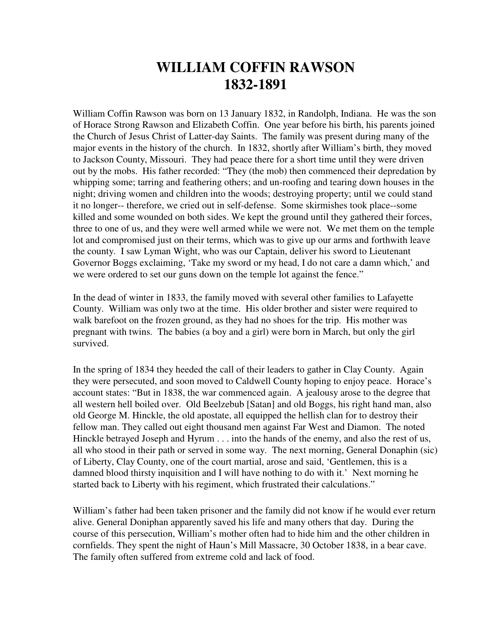## **WILLIAM COFFIN RAWSON 1832-1891**

William Coffin Rawson was born on 13 January 1832, in Randolph, Indiana. He was the son of Horace Strong Rawson and Elizabeth Coffin. One year before his birth, his parents joined the Church of Jesus Christ of Latter-day Saints. The family was present during many of the major events in the history of the church. In 1832, shortly after William's birth, they moved to Jackson County, Missouri. They had peace there for a short time until they were driven out by the mobs. His father recorded: "They (the mob) then commenced their depredation by whipping some; tarring and feathering others; and un-roofing and tearing down houses in the night; driving women and children into the woods; destroying property; until we could stand it no longer-- therefore, we cried out in self-defense. Some skirmishes took place--some killed and some wounded on both sides. We kept the ground until they gathered their forces, three to one of us, and they were well armed while we were not. We met them on the temple lot and compromised just on their terms, which was to give up our arms and forthwith leave the county. I saw Lyman Wight, who was our Captain, deliver his sword to Lieutenant Governor Boggs exclaiming, 'Take my sword or my head, I do not care a damn which,' and we were ordered to set our guns down on the temple lot against the fence."

In the dead of winter in 1833, the family moved with several other families to Lafayette County. William was only two at the time. His older brother and sister were required to walk barefoot on the frozen ground, as they had no shoes for the trip. His mother was pregnant with twins. The babies (a boy and a girl) were born in March, but only the girl survived.

In the spring of 1834 they heeded the call of their leaders to gather in Clay County. Again they were persecuted, and soon moved to Caldwell County hoping to enjoy peace. Horace's account states: "But in 1838, the war commenced again. A jealousy arose to the degree that all western hell boiled over. Old Beelzebub [Satan] and old Boggs, his right hand man, also old George M. Hinckle, the old apostate, all equipped the hellish clan for to destroy their fellow man. They called out eight thousand men against Far West and Diamon. The noted Hinckle betrayed Joseph and Hyrum . . . into the hands of the enemy, and also the rest of us, all who stood in their path or served in some way. The next morning, General Donaphin (sic) of Liberty, Clay County, one of the court martial, arose and said, 'Gentlemen, this is a damned blood thirsty inquisition and I will have nothing to do with it.' Next morning he started back to Liberty with his regiment, which frustrated their calculations."

William's father had been taken prisoner and the family did not know if he would ever return alive. General Doniphan apparently saved his life and many others that day. During the course of this persecution, William's mother often had to hide him and the other children in cornfields. They spent the night of Haun's Mill Massacre, 30 October 1838, in a bear cave. The family often suffered from extreme cold and lack of food.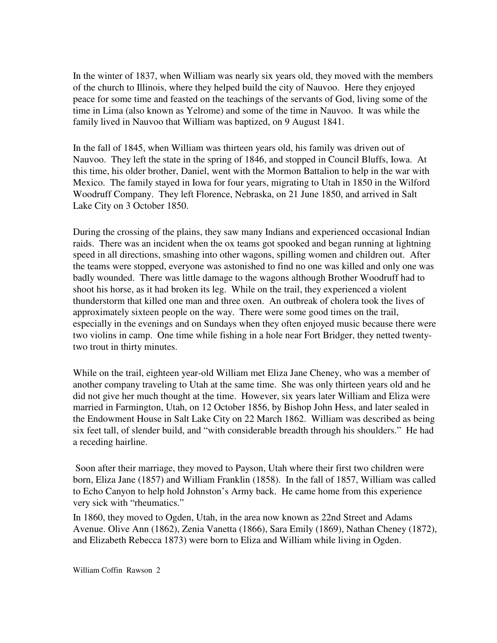In the winter of 1837, when William was nearly six years old, they moved with the members of the church to Illinois, where they helped build the city of Nauvoo. Here they enjoyed peace for some time and feasted on the teachings of the servants of God, living some of the time in Lima (also known as Yelrome) and some of the time in Nauvoo. It was while the family lived in Nauvoo that William was baptized, on 9 August 1841.

In the fall of 1845, when William was thirteen years old, his family was driven out of Nauvoo. They left the state in the spring of 1846, and stopped in Council Bluffs, Iowa. At this time, his older brother, Daniel, went with the Mormon Battalion to help in the war with Mexico. The family stayed in Iowa for four years, migrating to Utah in 1850 in the Wilford Woodruff Company. They left Florence, Nebraska, on 21 June 1850, and arrived in Salt Lake City on 3 October 1850.

During the crossing of the plains, they saw many Indians and experienced occasional Indian raids. There was an incident when the ox teams got spooked and began running at lightning speed in all directions, smashing into other wagons, spilling women and children out. After the teams were stopped, everyone was astonished to find no one was killed and only one was badly wounded. There was little damage to the wagons although Brother Woodruff had to shoot his horse, as it had broken its leg. While on the trail, they experienced a violent thunderstorm that killed one man and three oxen. An outbreak of cholera took the lives of approximately sixteen people on the way. There were some good times on the trail, especially in the evenings and on Sundays when they often enjoyed music because there were two violins in camp. One time while fishing in a hole near Fort Bridger, they netted twentytwo trout in thirty minutes.

While on the trail, eighteen year-old William met Eliza Jane Cheney, who was a member of another company traveling to Utah at the same time. She was only thirteen years old and he did not give her much thought at the time. However, six years later William and Eliza were married in Farmington, Utah, on 12 October 1856, by Bishop John Hess, and later sealed in the Endowment House in Salt Lake City on 22 March 1862. William was described as being six feet tall, of slender build, and "with considerable breadth through his shoulders." He had a receding hairline.

 Soon after their marriage, they moved to Payson, Utah where their first two children were born, Eliza Jane (1857) and William Franklin (1858). In the fall of 1857, William was called to Echo Canyon to help hold Johnston's Army back. He came home from this experience very sick with "rheumatics."

In 1860, they moved to Ogden, Utah, in the area now known as 22nd Street and Adams Avenue. Olive Ann (1862), Zenia Vanetta (1866), Sara Emily (1869), Nathan Cheney (1872), and Elizabeth Rebecca 1873) were born to Eliza and William while living in Ogden.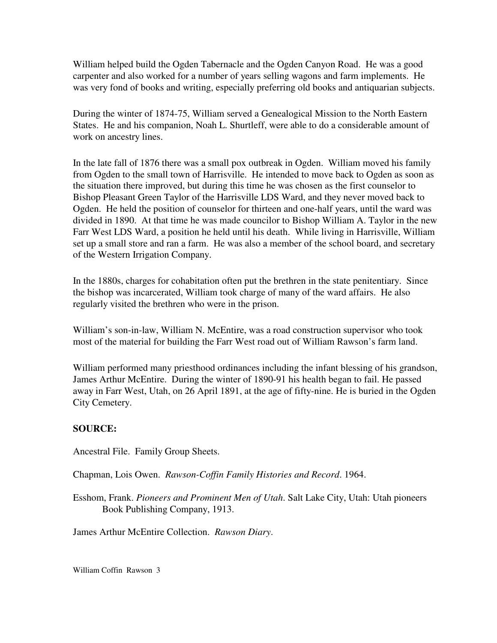William helped build the Ogden Tabernacle and the Ogden Canyon Road. He was a good carpenter and also worked for a number of years selling wagons and farm implements. He was very fond of books and writing, especially preferring old books and antiquarian subjects.

During the winter of 1874-75, William served a Genealogical Mission to the North Eastern States. He and his companion, Noah L. Shurtleff, were able to do a considerable amount of work on ancestry lines.

In the late fall of 1876 there was a small pox outbreak in Ogden. William moved his family from Ogden to the small town of Harrisville. He intended to move back to Ogden as soon as the situation there improved, but during this time he was chosen as the first counselor to Bishop Pleasant Green Taylor of the Harrisville LDS Ward, and they never moved back to Ogden. He held the position of counselor for thirteen and one-half years, until the ward was divided in 1890. At that time he was made councilor to Bishop William A. Taylor in the new Farr West LDS Ward, a position he held until his death. While living in Harrisville, William set up a small store and ran a farm. He was also a member of the school board, and secretary of the Western Irrigation Company.

In the 1880s, charges for cohabitation often put the brethren in the state penitentiary. Since the bishop was incarcerated, William took charge of many of the ward affairs. He also regularly visited the brethren who were in the prison.

William's son-in-law, William N. McEntire, was a road construction supervisor who took most of the material for building the Farr West road out of William Rawson's farm land.

William performed many priesthood ordinances including the infant blessing of his grandson, James Arthur McEntire. During the winter of 1890-91 his health began to fail. He passed away in Farr West, Utah, on 26 April 1891, at the age of fifty-nine. He is buried in the Ogden City Cemetery.

## **SOURCE:**

Ancestral File. Family Group Sheets.

Chapman, Lois Owen. *Rawson-Coffin Family Histories and Record*. 1964.

Esshom, Frank. *Pioneers and Prominent Men of Utah*. Salt Lake City, Utah: Utah pioneers Book Publishing Company, 1913.

James Arthur McEntire Collection. *Rawson Diary*.

William Coffin Rawson 3